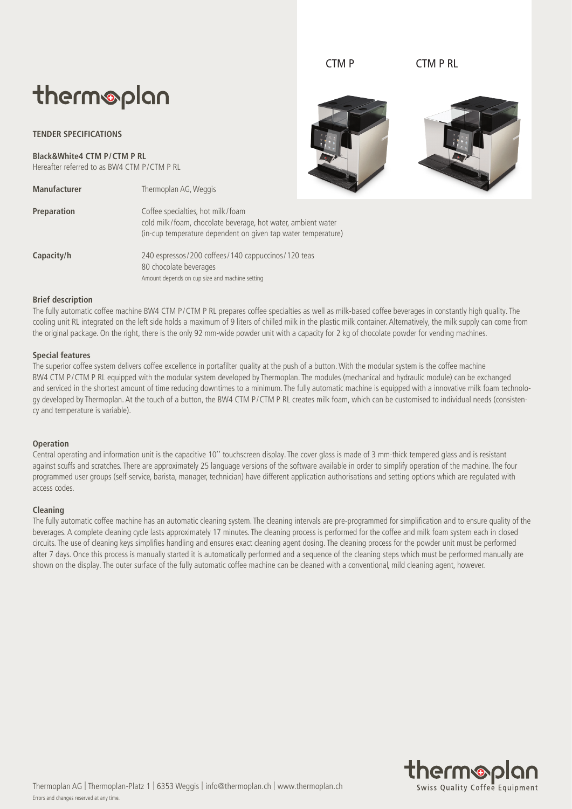# therm®plan

## **TENDER SPECIFICATIONS**

**Black&White4 CTM P/CTM P RL** Hereafter referred to as BW4 CTM P/CTM P RL

**Manufacturer** Thermoplan AG, Weggis **Preparation** Coffee specialties, hot milk/foam cold milk/foam, chocolate beverage, hot water, ambient water (in-cup temperature dependent on given tap water temperature) **Capacity/h** 240 espressos/200 coffees/140 cappuccinos/120 teas 80 chocolate beverages Amount depends on cup size and machine setting

#### **Brief description**

The fully automatic coffee machine BW4 CTM P/CTM P RL prepares coffee specialties as well as milk-based coffee beverages in constantly high quality. The cooling unit RL integrated on the left side holds a maximum of 9 liters of chilled milk in the plastic milk container. Alternatively, the milk supply can come from the original package. On the right, there is the only 92 mm-wide powder unit with a capacity for 2 kg of chocolate powder for vending machines.

#### **Special features**

The superior coffee system delivers coffee excellence in portafilter quality at the push of a button. With the modular system is the coffee machine BW4 CTM P/CTM P RL equipped with the modular system developed by Thermoplan. The modules (mechanical and hydraulic module) can be exchanged and serviced in the shortest amount of time reducing downtimes to a minimum. The fully automatic machine is equipped with a innovative milk foam technology developed by Thermoplan. At the touch of a button, the BW4 CTM P/CTM P RL creates milk foam, which can be customised to individual needs (consistency and temperature is variable).

#### **Operation**

Central operating and information unit is the capacitive 10'' touchscreen display. The cover glass is made of 3 mm-thick tempered glass and is resistant against scuffs and scratches. There are approximately 25 language versions of the software available in order to simplify operation of the machine. The four programmed user groups (self-service, barista, manager, technician) have different application authorisations and setting options which are regulated with access codes.

#### **Cleaning**

The fully automatic coffee machine has an automatic cleaning system. The cleaning intervals are pre-programmed for simplification and to ensure quality of the beverages. A complete cleaning cycle lasts approximately 17 minutes. The cleaning process is performed for the coffee and milk foam system each in closed circuits. The use of cleaning keys simplifies handling and ensures exact cleaning agent dosing. The cleaning process for the powder unit must be performed after 7 days. Once this process is manually started it is automatically performed and a sequence of the cleaning steps which must be performed manually are shown on the display. The outer surface of the fully automatic coffee machine can be cleaned with a conventional, mild cleaning agent, however.



CTM P CTM P RL